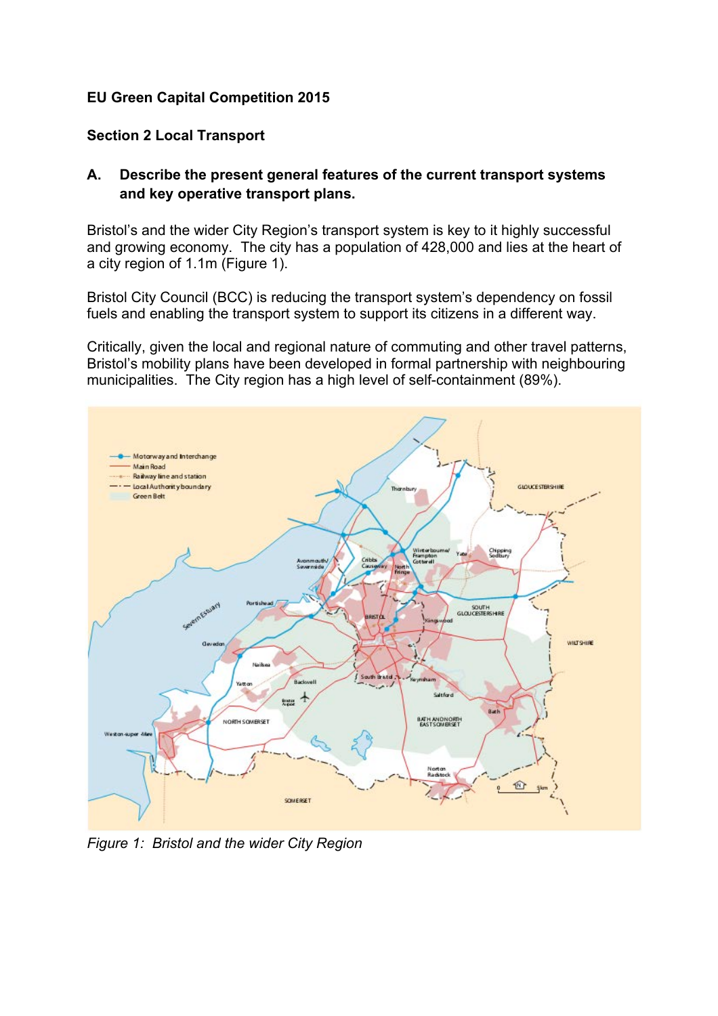# **EU Green Capital Competition 2015**

# **Section 2 Local Transport**

# **A. Describe the present general features of the current transport systems and key operative transport plans.**

Bristol's and the wider City Region's transport system is key to it highly successful and growing economy. The city has a population of 428,000 and lies at the heart of a city region of 1.1m (Figure 1).

Bristol City Council (BCC) is reducing the transport system's dependency on fossil fuels and enabling the transport system to support its citizens in a different way.

Critically, given the local and regional nature of commuting and other travel patterns, Bristol's mobility plans have been developed in formal partnership with neighbouring municipalities. The City region has a high level of self-containment (89%).



*Figure 1: Bristol and the wider City Region*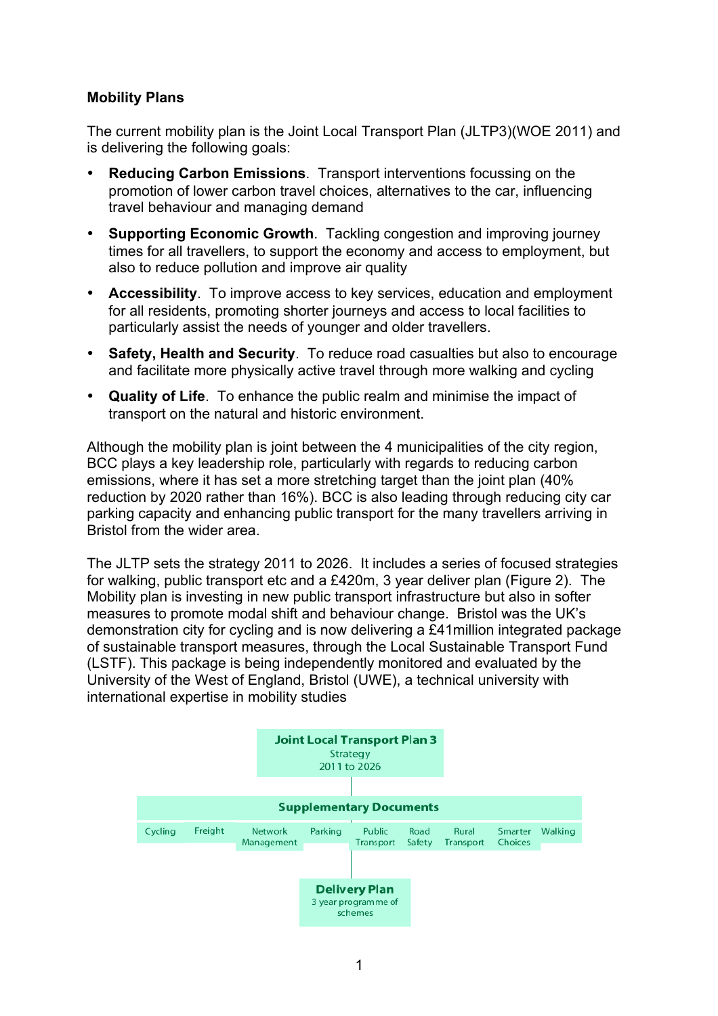#### **Mobility Plans**

The current mobility plan is the Joint Local Transport Plan (JLTP3)(WOE 2011) and is delivering the following goals:

- **Reducing Carbon Emissions**. Transport interventions focussing on the promotion of lower carbon travel choices, alternatives to the car, influencing travel behaviour and managing demand
- **Supporting Economic Growth**. Tackling congestion and improving journey times for all travellers, to support the economy and access to employment, but also to reduce pollution and improve air quality
- **Accessibility**. To improve access to key services, education and employment for all residents, promoting shorter journeys and access to local facilities to particularly assist the needs of younger and older travellers.
- **Safety, Health and Security**. To reduce road casualties but also to encourage and facilitate more physically active travel through more walking and cycling
- **Quality of Life**. To enhance the public realm and minimise the impact of transport on the natural and historic environment.

Although the mobility plan is joint between the 4 municipalities of the city region, BCC plays a key leadership role, particularly with regards to reducing carbon emissions, where it has set a more stretching target than the joint plan (40% reduction by 2020 rather than 16%). BCC is also leading through reducing city car parking capacity and enhancing public transport for the many travellers arriving in Bristol from the wider area.

The JLTP sets the strategy 2011 to 2026. It includes a series of focused strategies for walking, public transport etc and a £420m, 3 year deliver plan (Figure 2). The Mobility plan is investing in new public transport infrastructure but also in softer measures to promote modal shift and behaviour change. Bristol was the UK's demonstration city for cycling and is now delivering a £41million integrated package of sustainable transport measures, through the Local Sustainable Transport Fund (LSTF). This package is being independently monitored and evaluated by the University of the West of England, Bristol (UWE), a technical university with international expertise in mobility studies

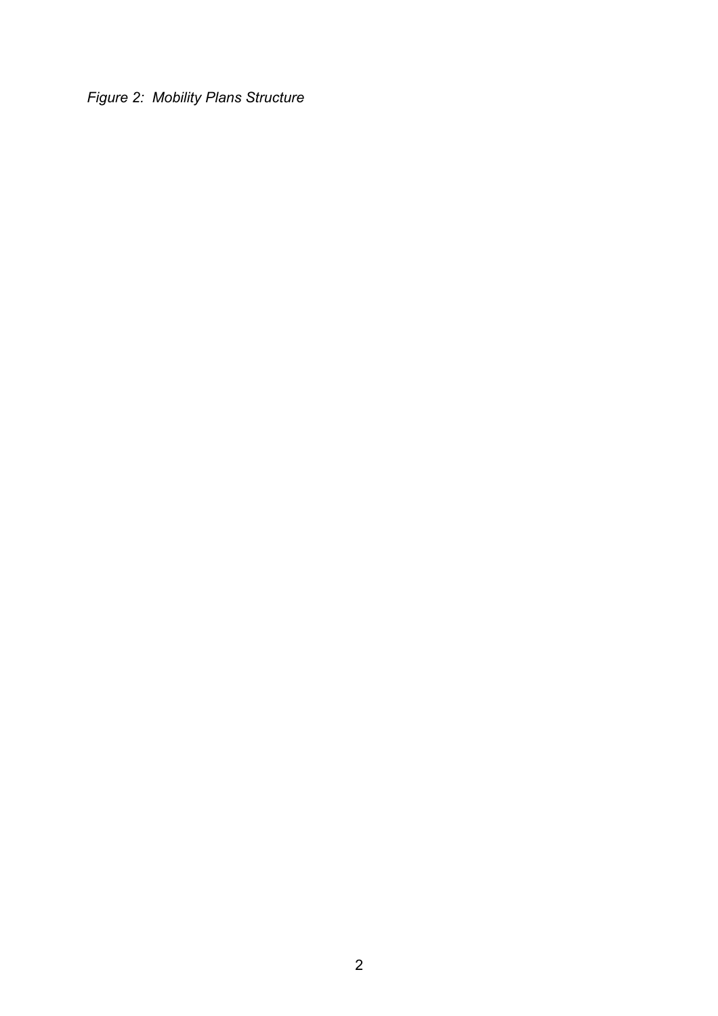*Figure 2: Mobility Plans Structure*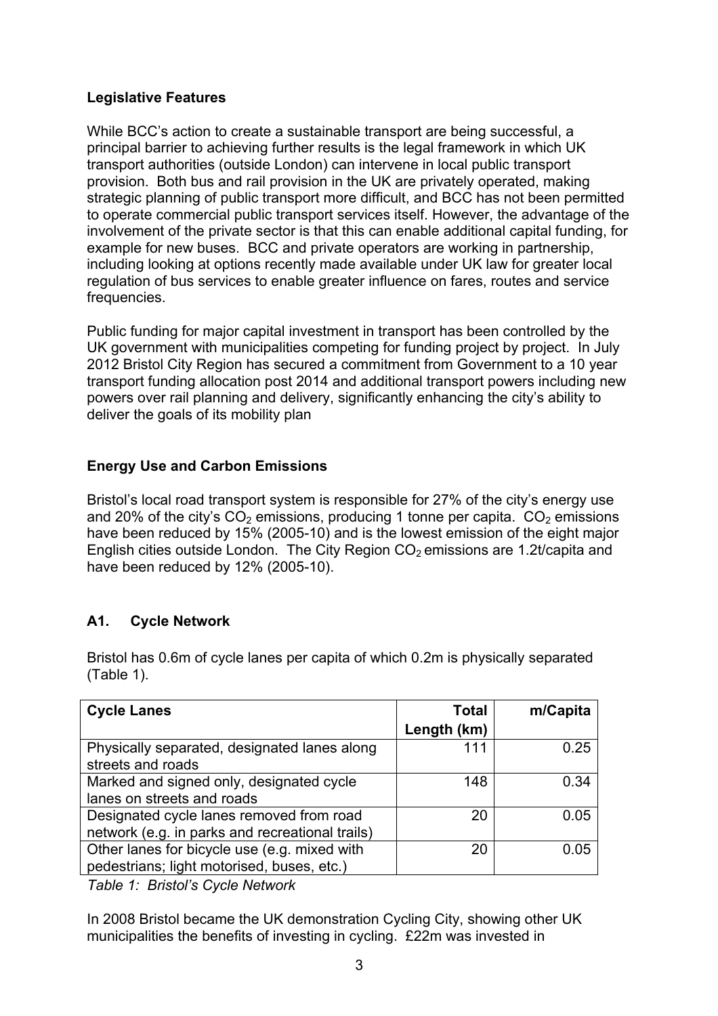# **Legislative Features**

While BCC's action to create a sustainable transport are being successful, a principal barrier to achieving further results is the legal framework in which UK transport authorities (outside London) can intervene in local public transport provision. Both bus and rail provision in the UK are privately operated, making strategic planning of public transport more difficult, and BCC has not been permitted to operate commercial public transport services itself. However, the advantage of the involvement of the private sector is that this can enable additional capital funding, for example for new buses. BCC and private operators are working in partnership, including looking at options recently made available under UK law for greater local regulation of bus services to enable greater influence on fares, routes and service frequencies.

Public funding for major capital investment in transport has been controlled by the UK government with municipalities competing for funding project by project. In July 2012 Bristol City Region has secured a commitment from Government to a 10 year transport funding allocation post 2014 and additional transport powers including new powers over rail planning and delivery, significantly enhancing the city's ability to deliver the goals of its mobility plan

# **Energy Use and Carbon Emissions**

Bristol's local road transport system is responsible for 27% of the city's energy use and 20% of the city's  $CO<sub>2</sub>$  emissions, producing 1 tonne per capita.  $CO<sub>2</sub>$  emissions have been reduced by 15% (2005-10) and is the lowest emission of the eight major English cities outside London. The City Region  $CO<sub>2</sub>$  emissions are 1.2t/capita and have been reduced by 12% (2005-10).

# **A1. Cycle Network**

Bristol has 0.6m of cycle lanes per capita of which 0.2m is physically separated (Table 1).

| <b>Cycle Lanes</b>                                                | <b>Total</b> | m/Capita |
|-------------------------------------------------------------------|--------------|----------|
|                                                                   | Length (km)  |          |
| Physically separated, designated lanes along<br>streets and roads | 111          | 0.25     |
| Marked and signed only, designated cycle                          | 148          | 0.34     |
| lanes on streets and roads                                        |              |          |
| Designated cycle lanes removed from road                          | 20           | 0.05     |
| network (e.g. in parks and recreational trails)                   |              |          |
| Other lanes for bicycle use (e.g. mixed with                      | 20           | 0.05     |
| pedestrians; light motorised, buses, etc.)                        |              |          |

*Table 1: Bristol's Cycle Network*

In 2008 Bristol became the UK demonstration Cycling City, showing other UK municipalities the benefits of investing in cycling. £22m was invested in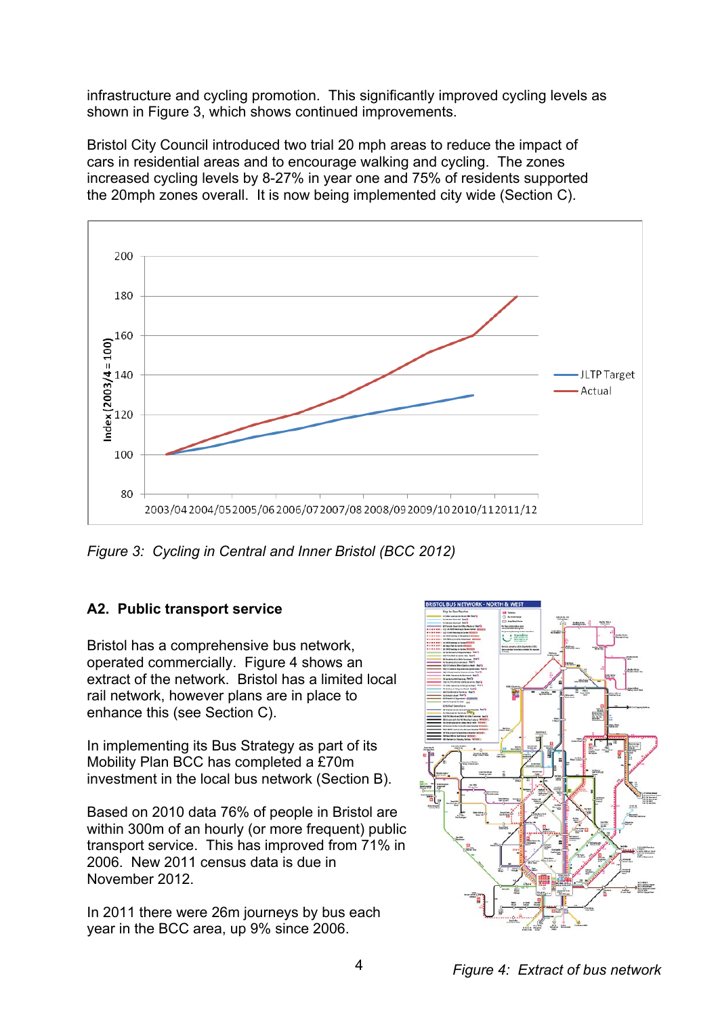infrastructure and cycling promotion. This significantly improved cycling levels as shown in Figure 3, which shows continued improvements.

Bristol City Council introduced two trial 20 mph areas to reduce the impact of cars in residential areas and to encourage walking and cycling. The zones increased cycling levels by 8-27% in year one and 75% of residents supported the 20mph zones overall.It is now being implemented city wide (Section C).



*Figure 3: Cycling in Central and Inner Bristol (BCC 2012)*

# **A2. Public transport service**

Bristol has a comprehensive bus network, operated commercially. Figure 4 shows an extract of the network. Bristol has a limited local rail network, however plans are in place to enhance this (see Section C).

In implementing its Bus Strategy as part of its Mobility Plan BCC has completed a £70m investment in the local bus network (Section B).

Based on 2010 data 76% of people in Bristol are within 300m of an hourly (or more frequent) public transport service. This has improved from 71% in 2006. New 2011 census data is due in November 2012.

In 2011 there were 26m journeys by bus each year in the BCC area, up 9% since 2006.



*Figure 4: Extract of bus network*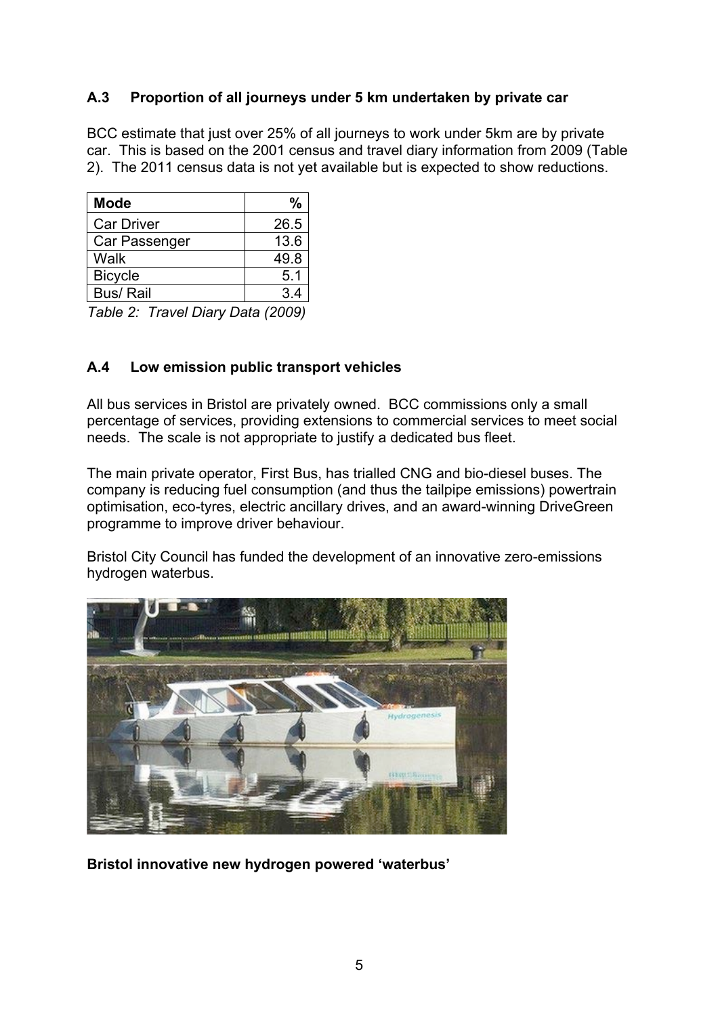# **A.3 Proportion of all journeys under 5 km undertaken by private car**

BCC estimate that just over 25% of all journeys to work under 5km are by private car. This is based on the 2001 census and travel diary information from 2009 (Table 2). The 2011 census data is not yet available but is expected to show reductions.

| <b>Mode</b>       | $\frac{0}{0}$ |
|-------------------|---------------|
| <b>Car Driver</b> | 26.5          |
| Car Passenger     | 13.6          |
| Walk              | 49.8          |
| <b>Bicycle</b>    | 5.1           |
| <b>Bus/ Rail</b>  |               |

*Table 2: Travel Diary Data (2009)*

# **A.4 Low emission public transport vehicles**

All bus services in Bristol are privately owned. BCC commissions only a small percentage of services, providing extensions to commercial services to meet social needs. The scale is not appropriate to justify a dedicated bus fleet.

The main private operator, First Bus, has trialled CNG and bio-diesel buses. The company is reducing fuel consumption (and thus the tailpipe emissions) powertrain optimisation, eco-tyres, electric ancillary drives, and an award-winning DriveGreen programme to improve driver behaviour.

Bristol City Council has funded the development of an innovative zero-emissions hydrogen waterbus.



**Bristol innovative new hydrogen powered 'waterbus'**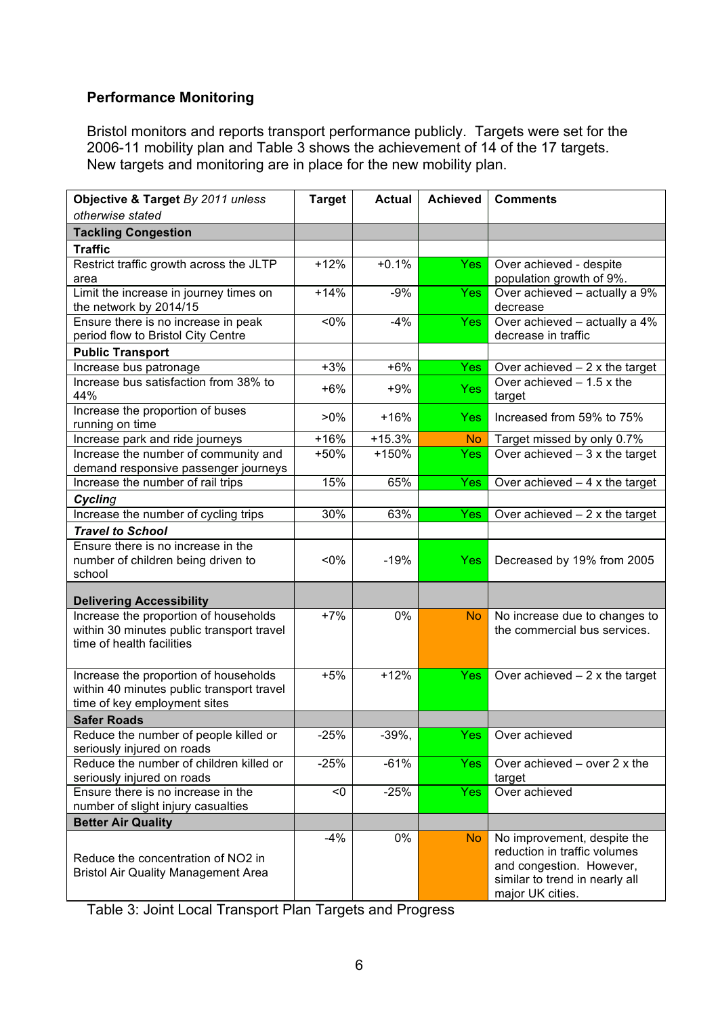# **Performance Monitoring**

Bristol monitors and reports transport performance publicly. Targets were set for the 2006-11 mobility plan and Table 3 shows the achievement of 14 of the 17 targets. New targets and monitoring are in place for the new mobility plan.

| Objective & Target By 2011 unless<br>otherwise stated                                                              | <b>Target</b> | <b>Actual</b> | <b>Achieved</b> | <b>Comments</b>                                                                                                                               |
|--------------------------------------------------------------------------------------------------------------------|---------------|---------------|-----------------|-----------------------------------------------------------------------------------------------------------------------------------------------|
| <b>Tackling Congestion</b>                                                                                         |               |               |                 |                                                                                                                                               |
| <b>Traffic</b>                                                                                                     |               |               |                 |                                                                                                                                               |
| Restrict traffic growth across the JLTP<br>area                                                                    | $+12%$        | $+0.1%$       | <b>Yes</b>      | Over achieved - despite<br>population growth of 9%.                                                                                           |
| Limit the increase in journey times on<br>the network by 2014/15                                                   | $+14%$        | $-9%$         | <b>Yes</b>      | Over achieved - actually a 9%<br>decrease                                                                                                     |
| Ensure there is no increase in peak<br>period flow to Bristol City Centre                                          | $< 0\%$       | $-4%$         | <b>Yes</b>      | Over achieved - actually a 4%<br>decrease in traffic                                                                                          |
| <b>Public Transport</b>                                                                                            |               |               |                 |                                                                                                                                               |
| Increase bus patronage                                                                                             | $+3%$         | $+6%$         | <b>Yes</b>      | Over achieved $-2x$ the target                                                                                                                |
| Increase bus satisfaction from 38% to<br>44%                                                                       | $+6%$         | $+9%$         | <b>Yes</b>      | Over achieved $-1.5x$ the<br>target                                                                                                           |
| Increase the proportion of buses<br>running on time                                                                | $>0\%$        | $+16%$        | Yes             | Increased from 59% to 75%                                                                                                                     |
| Increase park and ride journeys                                                                                    | $+16%$        | $+15.3%$      | <b>No</b>       | Target missed by only 0.7%                                                                                                                    |
| Increase the number of community and<br>demand responsive passenger journeys                                       | +50%          | $+150%$       | <b>Yes</b>      | Over achieved $-3x$ the target                                                                                                                |
| Increase the number of rail trips                                                                                  | 15%           | 65%           | <b>Yes</b>      | Over $achieved - 4x$ the target                                                                                                               |
| Cycling                                                                                                            |               |               |                 |                                                                                                                                               |
| Increase the number of cycling trips                                                                               | 30%           | 63%           | <b>Yes</b>      | Over achieved $-2x$ the target                                                                                                                |
| <b>Travel to School</b>                                                                                            |               |               |                 |                                                                                                                                               |
| Ensure there is no increase in the<br>number of children being driven to<br>school                                 | $< 0\%$       | $-19%$        | <b>Yes</b>      | Decreased by 19% from 2005                                                                                                                    |
| <b>Delivering Accessibility</b>                                                                                    |               |               |                 |                                                                                                                                               |
| Increase the proportion of households<br>within 30 minutes public transport travel<br>time of health facilities    | $+7%$         | 0%            | <b>No</b>       | No increase due to changes to<br>the commercial bus services.                                                                                 |
| Increase the proportion of households<br>within 40 minutes public transport travel<br>time of key employment sites | $+5%$         | $+12%$        | Yes             | Over achieved $-2x$ the target                                                                                                                |
| <b>Safer Roads</b>                                                                                                 |               |               |                 |                                                                                                                                               |
| Reduce the number of people killed or<br>seriously injured on roads                                                | $-25%$        | $-39%$        | Yes             | Over achieved                                                                                                                                 |
| Reduce the number of children killed or<br>seriously injured on roads                                              | $-25%$        | $-61%$        | <b>Yes</b>      | Over achieved $-$ over 2 x the<br>target                                                                                                      |
| Ensure there is no increase in the<br>number of slight injury casualties                                           | < 0           | $-25%$        | <b>Yes</b>      | Over achieved                                                                                                                                 |
| <b>Better Air Quality</b>                                                                                          |               |               |                 |                                                                                                                                               |
| Reduce the concentration of NO2 in<br><b>Bristol Air Quality Management Area</b>                                   | $-4%$         | 0%            | <b>No</b>       | No improvement, despite the<br>reduction in traffic volumes<br>and congestion. However,<br>similar to trend in nearly all<br>major UK cities. |

Table 3: Joint Local Transport Plan Targets and Progress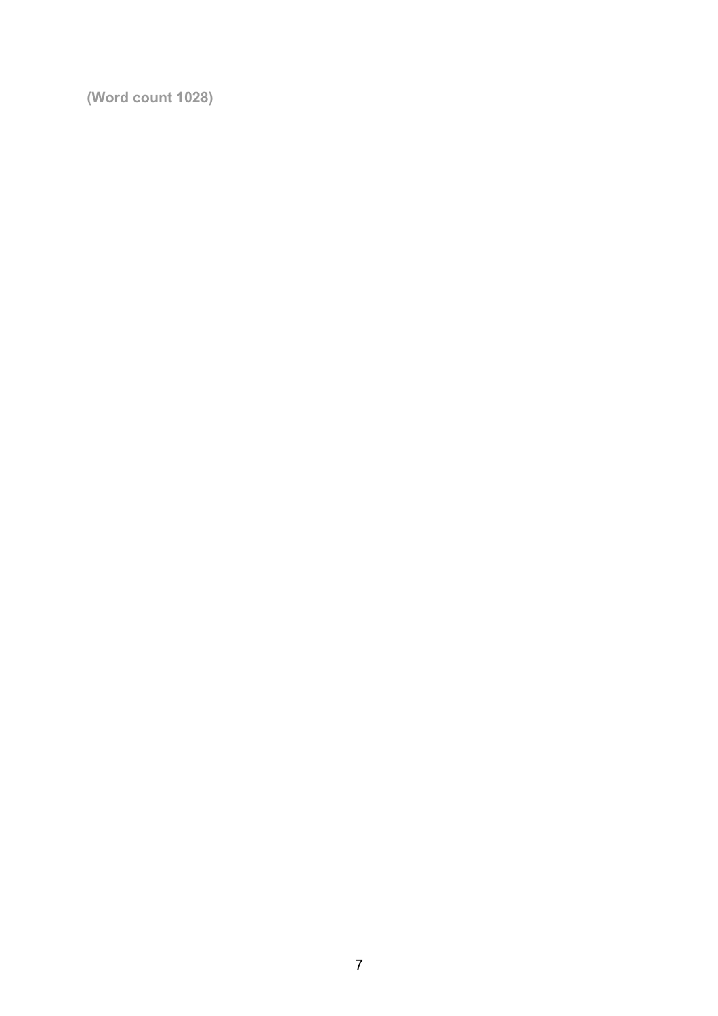**(Word count 1028)**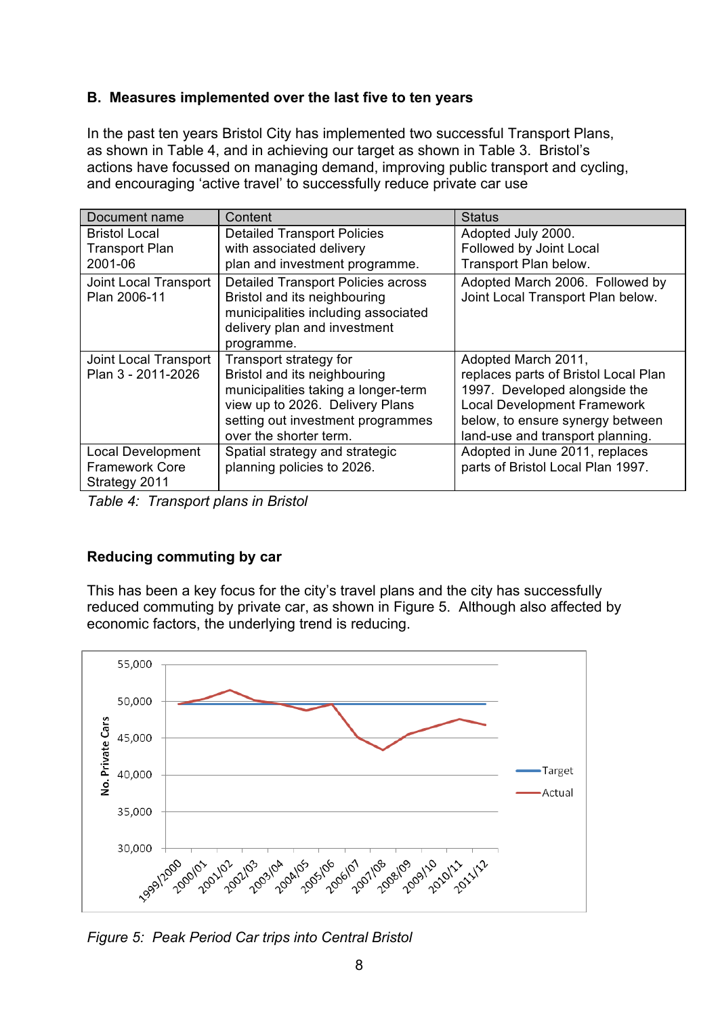# **B. Measures implemented over the last five to ten years**

In the past ten years Bristol City has implemented two successful Transport Plans, as shown in Table 4, and in achieving our target as shown in Table 3. Bristol's actions have focussed on managing demand, improving public transport and cycling, and encouraging 'active travel' to successfully reduce private car use

| Document name            | Content                                   | <b>Status</b>                        |
|--------------------------|-------------------------------------------|--------------------------------------|
| <b>Bristol Local</b>     | <b>Detailed Transport Policies</b>        | Adopted July 2000.                   |
| <b>Transport Plan</b>    | with associated delivery                  | Followed by Joint Local              |
| 2001-06                  | plan and investment programme.            | Transport Plan below.                |
| Joint Local Transport    | <b>Detailed Transport Policies across</b> | Adopted March 2006. Followed by      |
| Plan 2006-11             | Bristol and its neighbouring              | Joint Local Transport Plan below.    |
|                          | municipalities including associated       |                                      |
|                          | delivery plan and investment              |                                      |
|                          | programme.                                |                                      |
| Joint Local Transport    | Transport strategy for                    | Adopted March 2011,                  |
| Plan 3 - 2011-2026       | Bristol and its neighbouring              | replaces parts of Bristol Local Plan |
|                          | municipalities taking a longer-term       | 1997. Developed alongside the        |
|                          | view up to 2026. Delivery Plans           | <b>Local Development Framework</b>   |
|                          | setting out investment programmes         | below, to ensure synergy between     |
|                          | over the shorter term.                    | land-use and transport planning.     |
| <b>Local Development</b> | Spatial strategy and strategic            | Adopted in June 2011, replaces       |
| <b>Framework Core</b>    | planning policies to 2026.                | parts of Bristol Local Plan 1997.    |
| Strategy 2011            |                                           |                                      |

*Table 4: Transport plans in Bristol*

# **Reducing commuting by car**

This has been a key focus for the city's travel plans and the city has successfully reduced commuting by private car, as shown in Figure 5. Although also affected by economic factors, the underlying trend is reducing.



*Figure 5: Peak Period Car trips into Central Bristol*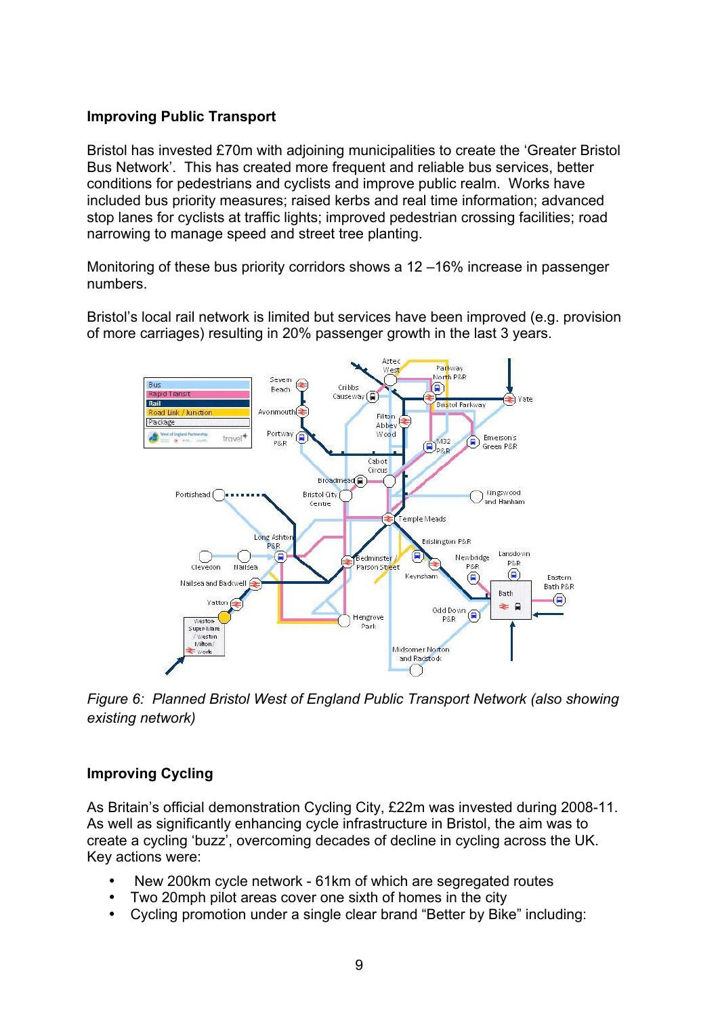### **Improving Public Transport**

Bristol has invested £70m with adjoining municipalities to create the 'Greater Bristol Bus Network'. This has created more frequent and reliable bus services, better conditions for pedestrians and cyclists and improve public realm. Works have included bus priority measures; raised kerbs and real time information; advanced stop lanes for cyclists at traffic lights; improved pedestrian crossing facilities; road narrowing to manage speed and street tree planting.

Monitoring of these bus priority corridors shows a 12 –16% increase in passenger numbers.

Bristol's local rail network is limited but services have been improved (e.g. provision of more carriages) resulting in 20% passenger growth in the last 3 years.



*Figure 6: Planned Bristol West of England Public Transport Network (also showing existing network)*

# **Improving Cycling**

As Britain's official demonstration Cycling City, £22m was invested during 2008-11. As well as significantly enhancing cycle infrastructure in Bristol, the aim was to create a cycling 'buzz', overcoming decades of decline in cycling across the UK. Key actions were:

- New 200km cycle network 61km of which are segregated routes
- Two 20mph pilot areas cover one sixth of homes in the city
- Cycling promotion under a single clear brand "Better by Bike" including: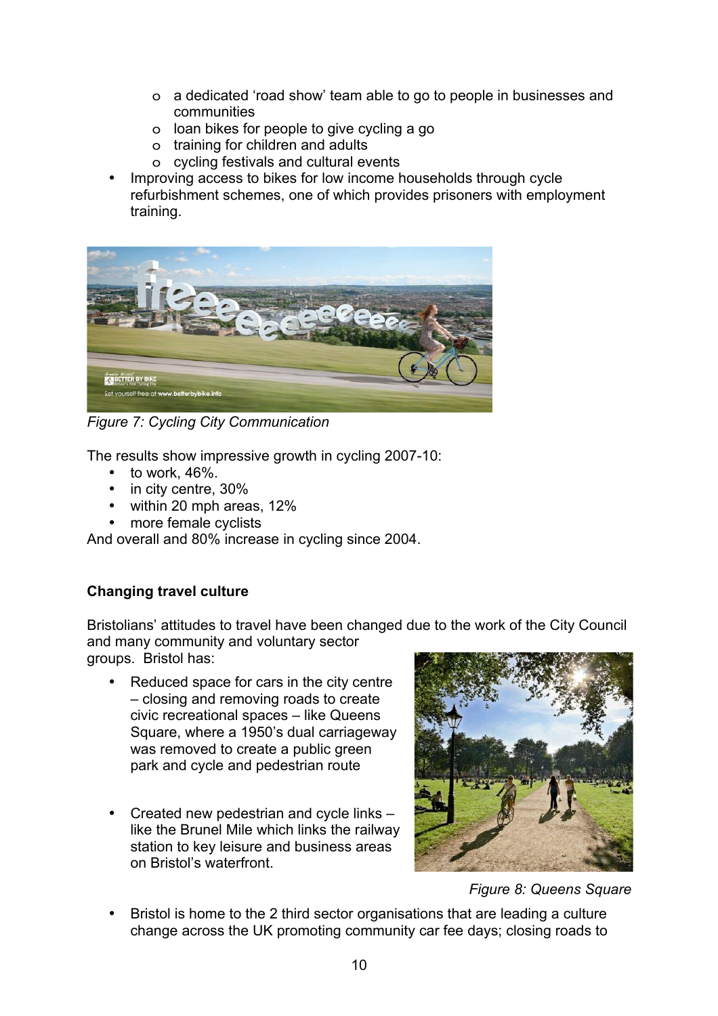- o a dedicated 'road show' team able to go to people in businesses and communities
- o loan bikes for people to give cycling a go
- o training for children and adults
- o cycling festivals and cultural events
- Improving access to bikes for low income households through cycle refurbishment schemes, one of which provides prisoners with employment training.



*Figure 7: Cycling City Communication*

The results show impressive growth in cycling 2007-10:

- $\cdot$  to work, 46%.
- in city centre, 30%
- within 20 mph areas, 12%
- more female cyclists

And overall and 80% increase in cycling since 2004.

# **Changing travel culture**

Bristolians' attitudes to travel have been changed due to the work of the City Council and many community and voluntary sector groups. Bristol has:

- Reduced space for cars in the city centre – closing and removing roads to create civic recreational spaces – like Queens Square, where a 1950's dual carriageway was removed to create a public green park and cycle and pedestrian route
- Created new pedestrian and cycle links like the Brunel Mile which links the railway station to key leisure and business areas on Bristol's waterfront.



*Figure 8: Queens Square* 

• Bristol is home to the 2 third sector organisations that are leading a culture change across the UK promoting community car fee days; closing roads to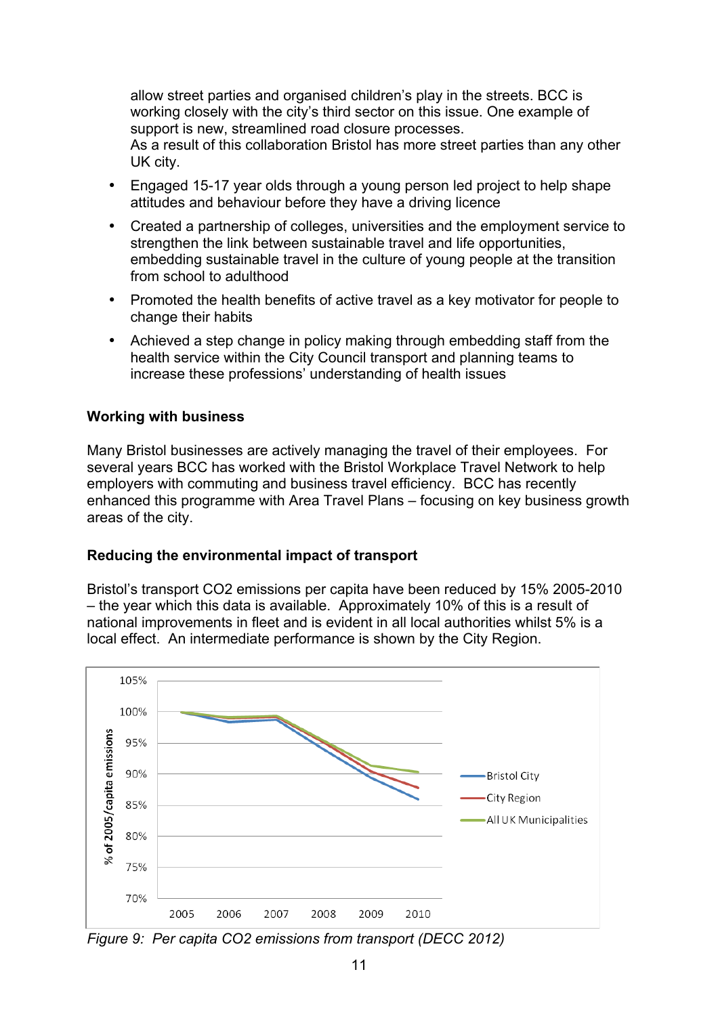allow street parties and organised children's play in the streets. BCC is working closely with the city's third sector on this issue. One example of support is new, streamlined road closure processes.

As a result of this collaboration Bristol has more street parties than any other UK city.

- Engaged 15-17 year olds through a young person led project to help shape attitudes and behaviour before they have a driving licence
- Created a partnership of colleges, universities and the employment service to strengthen the link between sustainable travel and life opportunities, embedding sustainable travel in the culture of young people at the transition from school to adulthood
- Promoted the health benefits of active travel as a key motivator for people to change their habits
- Achieved a step change in policy making through embedding staff from the health service within the City Council transport and planning teams to increase these professions' understanding of health issues

#### **Working with business**

Many Bristol businesses are actively managing the travel of their employees. For several years BCC has worked with the Bristol Workplace Travel Network to help employers with commuting and business travel efficiency. BCC has recently enhanced this programme with Area Travel Plans – focusing on key business growth areas of the city.

#### **Reducing the environmental impact of transport**

Bristol's transport CO2 emissions per capita have been reduced by 15% 2005-2010 – the year which this data is available. Approximately 10% of this is a result of national improvements in fleet and is evident in all local authorities whilst 5% is a local effect. An intermediate performance is shown by the City Region.



*Figure 9: Per capita CO2 emissions from transport (DECC 2012)*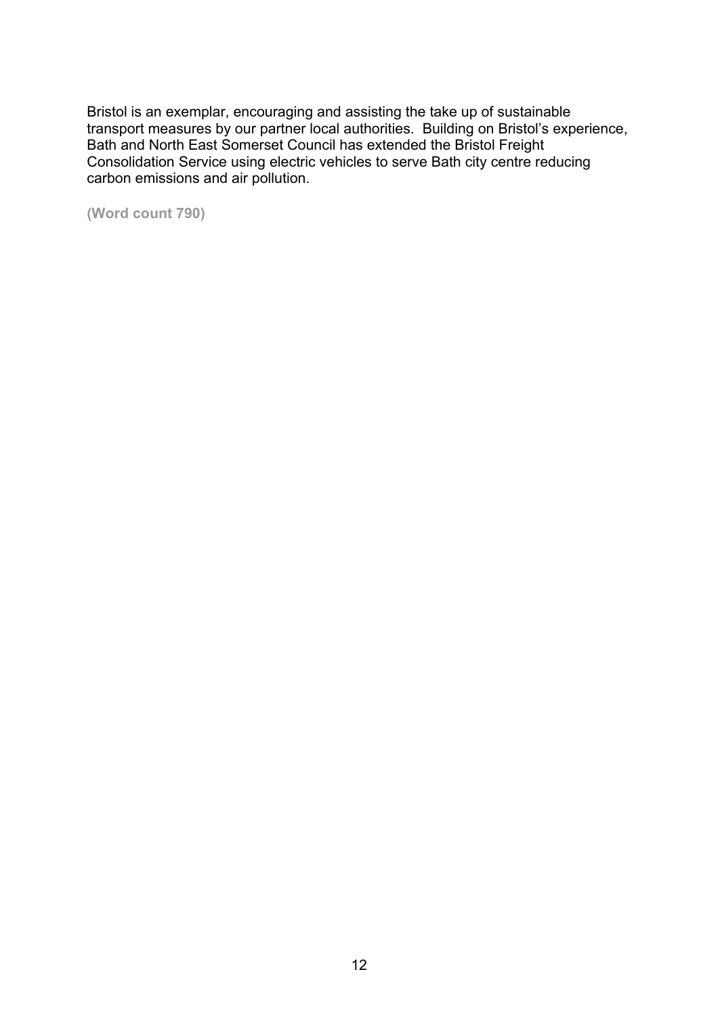Bristol is an exemplar, encouraging and assisting the take up of sustainable transport measures by our partner local authorities. Building on Bristol's experience, Bath and North East Somerset Council has extended the Bristol Freight Consolidation Service using electric vehicles to serve Bath city centre reducing carbon emissions and air pollution.

**(Word count 790)**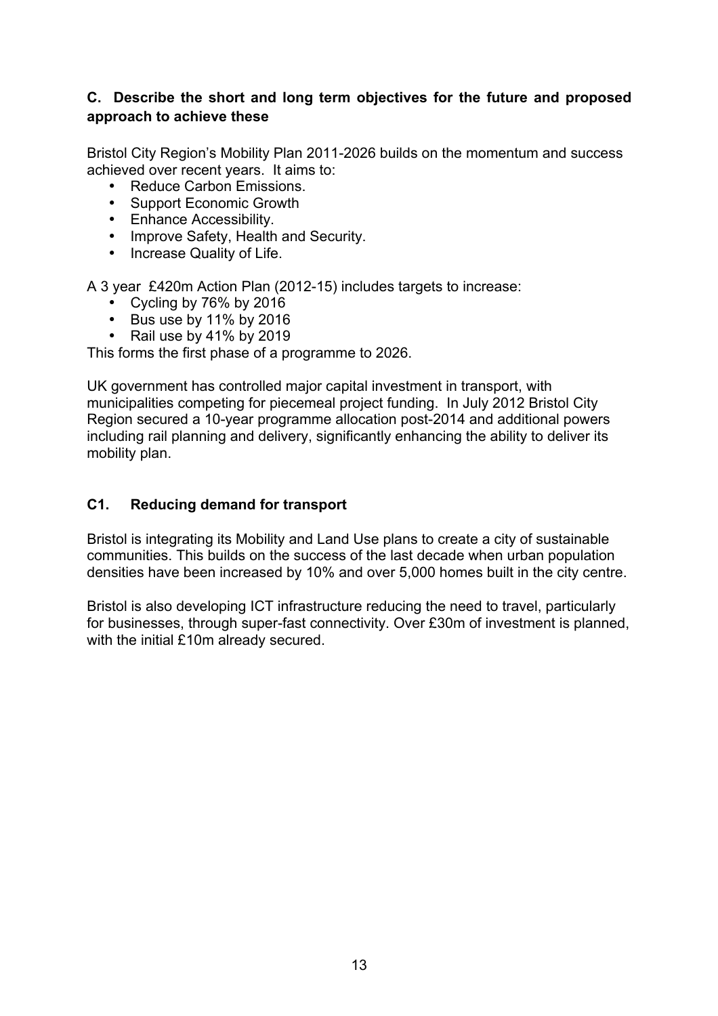# **C. Describe the short and long term objectives for the future and proposed approach to achieve these**

Bristol City Region's Mobility Plan 2011-2026 builds on the momentum and success achieved over recent years. It aims to:

- Reduce Carbon Emissions.
- Support Economic Growth
- Enhance Accessibility.
- Improve Safety, Health and Security.
- Increase Quality of Life.

A 3 year £420m Action Plan (2012-15) includes targets to increase:

- Cycling by 76% by 2016
- Bus use by 11% by 2016
- Rail use by 41% by 2019

This forms the first phase of a programme to 2026.

UK government has controlled major capital investment in transport, with municipalities competing for piecemeal project funding. In July 2012 Bristol City Region secured a 10-year programme allocation post-2014 and additional powers including rail planning and delivery, significantly enhancing the ability to deliver its mobility plan.

#### **C1. Reducing demand for transport**

Bristol is integrating its Mobility and Land Use plans to create a city of sustainable communities. This builds on the success of the last decade when urban population densities have been increased by 10% and over 5,000 homes built in the city centre.

Bristol is also developing ICT infrastructure reducing the need to travel, particularly for businesses, through super-fast connectivity. Over £30m of investment is planned, with the initial £10m already secured.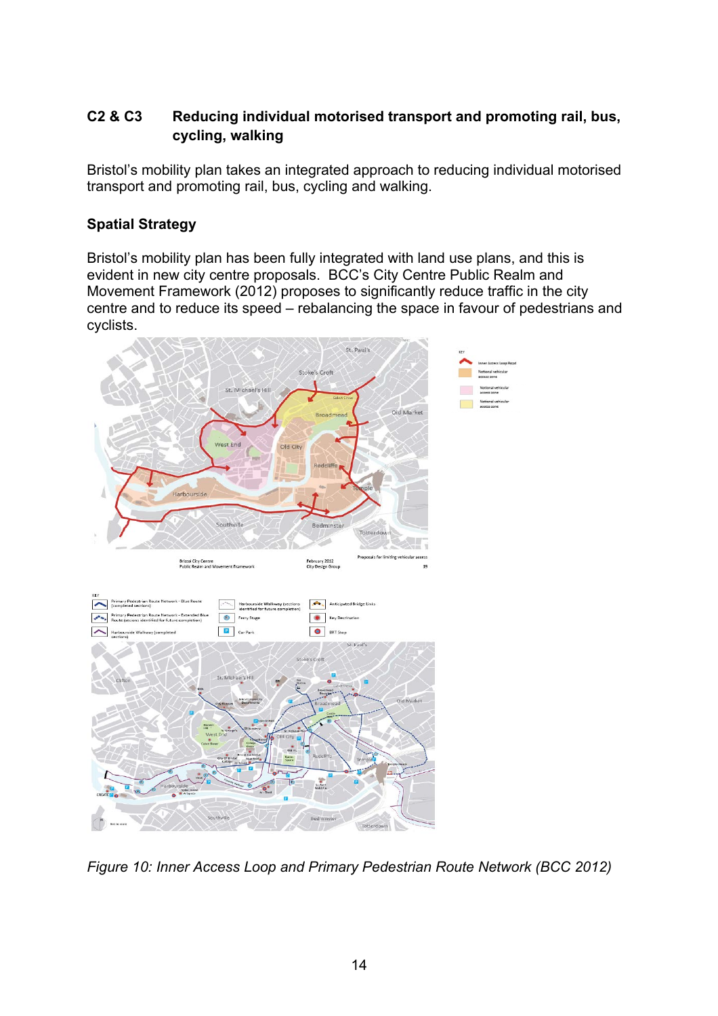# **C2 & C3 Reducing individual motorised transport and promoting rail, bus, cycling, walking**

Bristol's mobility plan takes an integrated approach to reducing individual motorised transport and promoting rail, bus, cycling and walking.

# **Spatial Strategy**

Bristol's mobility plan has been fully integrated with land use plans, and this is evident in new city centre proposals. BCC's City Centre Public Realm and Movement Framework (2012) proposes to significantly reduce traffic in the city centre and to reduce its speed – rebalancing the space in favour of pedestrians and cyclists.



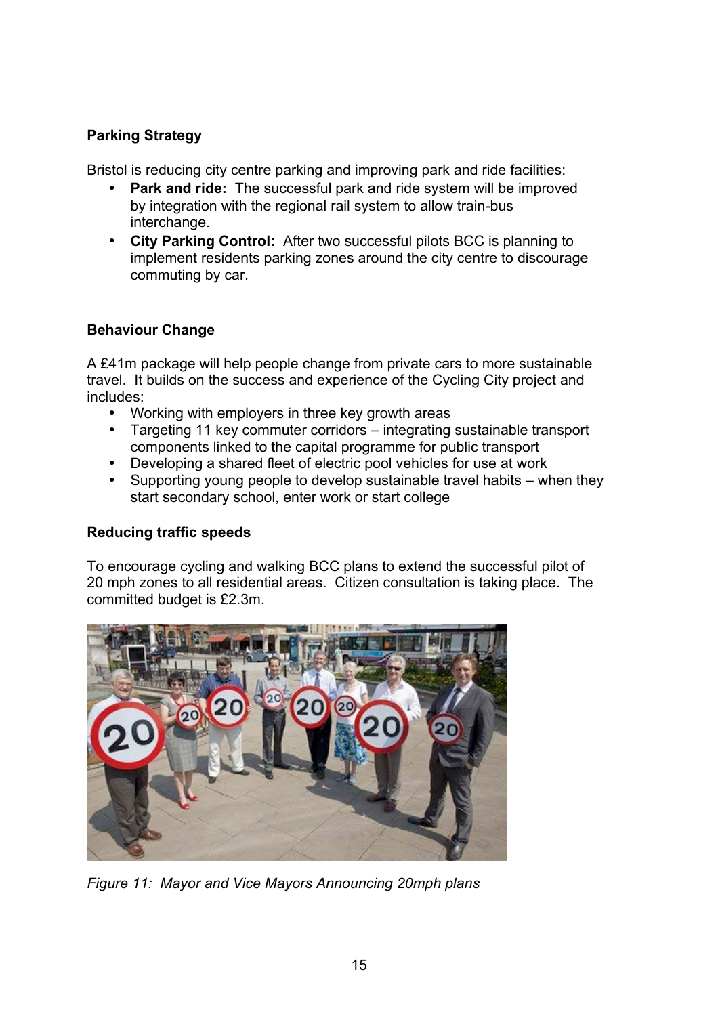# **Parking Strategy**

Bristol is reducing city centre parking and improving park and ride facilities:

- **Park and ride:** The successful park and ride system will be improved by integration with the regional rail system to allow train-bus interchange.
- **City Parking Control:** After two successful pilots BCC is planning to implement residents parking zones around the city centre to discourage commuting by car.

# **Behaviour Change**

A £41m package will help people change from private cars to more sustainable travel. It builds on the success and experience of the Cycling City project and includes:

- Working with employers in three key growth areas
- Targeting 11 key commuter corridors integrating sustainable transport components linked to the capital programme for public transport
- Developing a shared fleet of electric pool vehicles for use at work<br>• Supporting young people to develop sustainable travel habits wi
- Supporting young people to develop sustainable travel habits when they start secondary school, enter work or start college

# **Reducing traffic speeds**

To encourage cycling and walking BCC plans to extend the successful pilot of 20 mph zones to all residential areas. Citizen consultation is taking place. The committed budget is £2.3m.



*Figure 11: Mayor and Vice Mayors Announcing 20mph plans*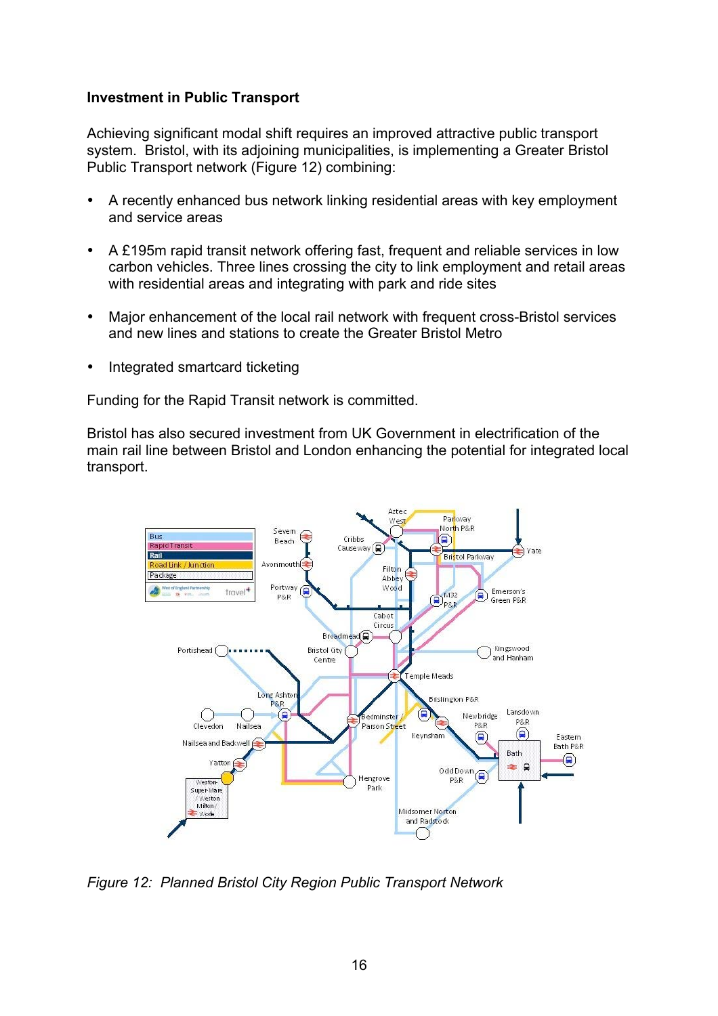#### **Investment in Public Transport**

Achieving significant modal shift requires an improved attractive public transport system. Bristol, with its adjoining municipalities, is implementing a Greater Bristol Public Transport network (Figure 12) combining:

- A recently enhanced bus network linking residential areas with key employment and service areas
- A £195m rapid transit network offering fast, frequent and reliable services in low carbon vehicles. Three lines crossing the city to link employment and retail areas with residential areas and integrating with park and ride sites
- Major enhancement of the local rail network with frequent cross-Bristol services and new lines and stations to create the Greater Bristol Metro
- Integrated smartcard ticketing

Funding for the Rapid Transit network is committed.

Bristol has also secured investment from UK Government in electrification of the main rail line between Bristol and London enhancing the potential for integrated local transport.



*Figure 12: Planned Bristol City Region Public Transport Network*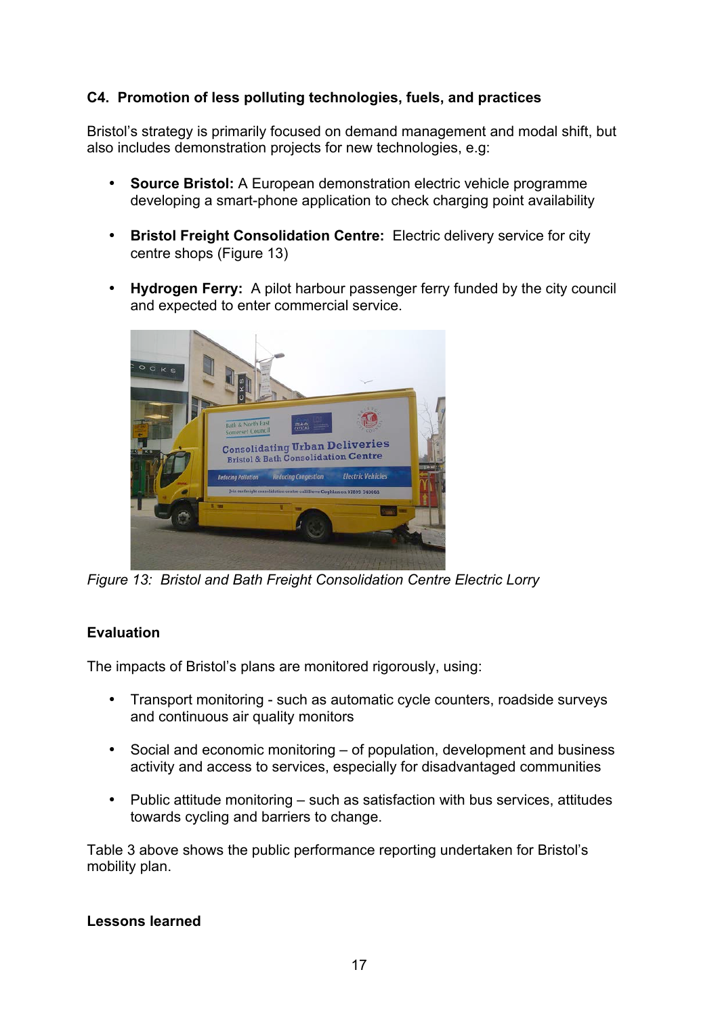# **C4. Promotion of less polluting technologies, fuels, and practices**

Bristol's strategy is primarily focused on demand management and modal shift, but also includes demonstration projects for new technologies, e.g:

- **Source Bristol:** A European demonstration electric vehicle programme developing a smart-phone application to check charging point availability
- **Bristol Freight Consolidation Centre:** Electric delivery service for city centre shops (Figure 13)
- **Hydrogen Ferry:** A pilot harbour passenger ferry funded by the city council and expected to enter commercial service.



*Figure 13: Bristol and Bath Freight Consolidation Centre Electric Lorry* 

# **Evaluation**

The impacts of Bristol's plans are monitored rigorously, using:

- Transport monitoring such as automatic cycle counters, roadside surveys and continuous air quality monitors
- Social and economic monitoring of population, development and business activity and access to services, especially for disadvantaged communities
- Public attitude monitoring such as satisfaction with bus services, attitudes towards cycling and barriers to change.

Table 3 above shows the public performance reporting undertaken for Bristol's mobility plan.

# **Lessons learned**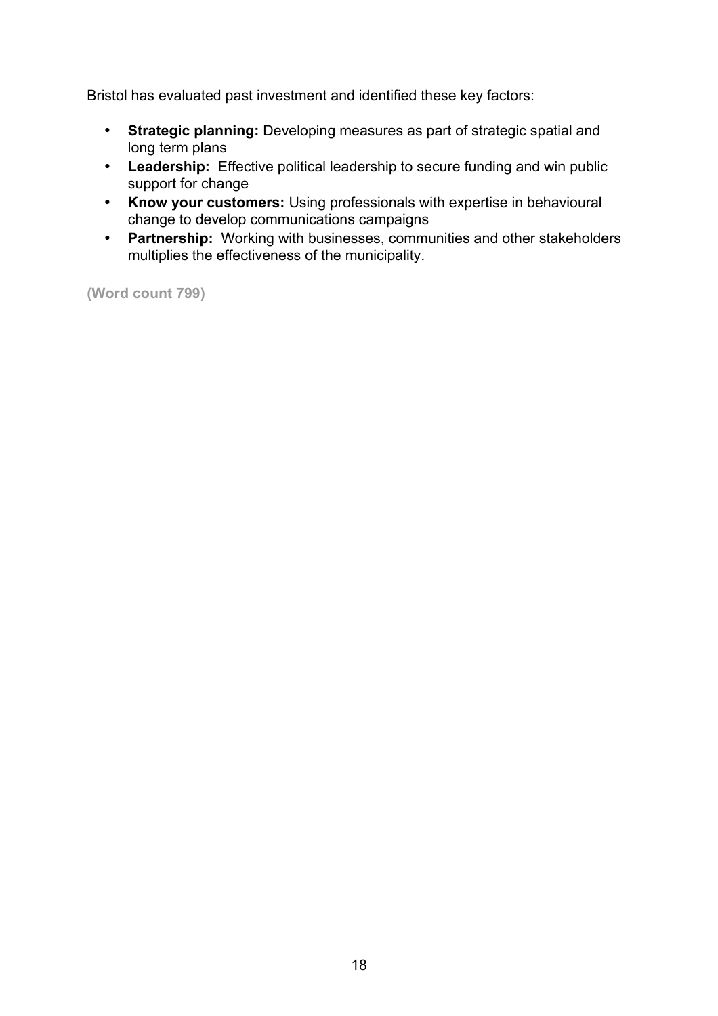Bristol has evaluated past investment and identified these key factors:

- **Strategic planning:** Developing measures as part of strategic spatial and long term plans
- **Leadership:** Effective political leadership to secure funding and win public support for change
- **Know your customers:** Using professionals with expertise in behavioural change to develop communications campaigns
- **Partnership:** Working with businesses, communities and other stakeholders multiplies the effectiveness of the municipality.

**(Word count 799)**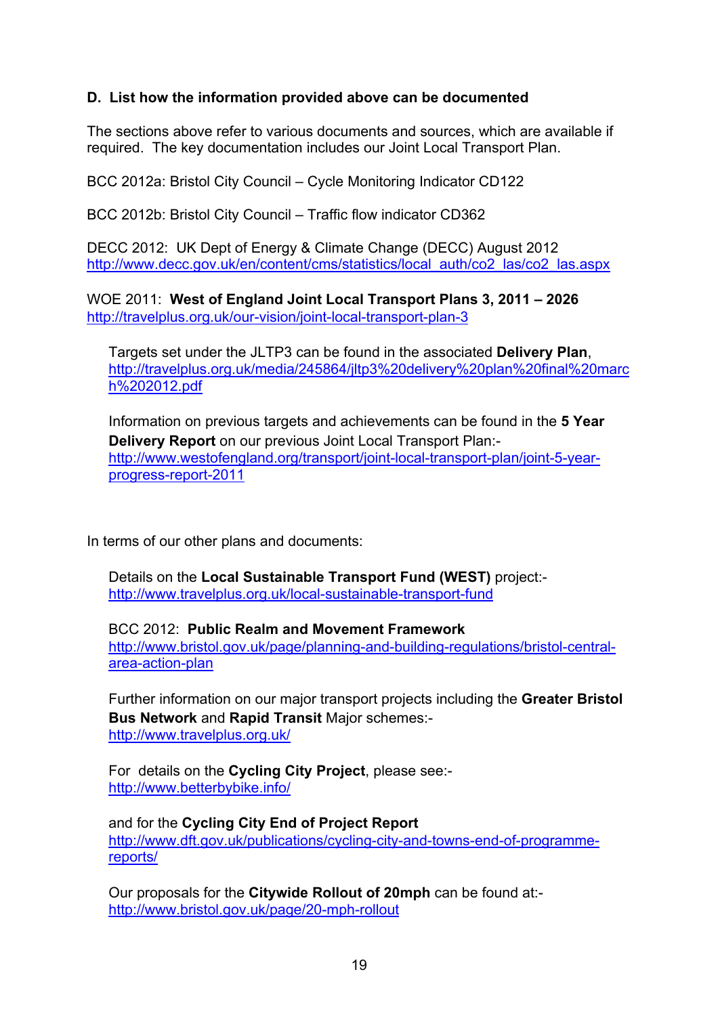# **D. List how the information provided above can be documented**

The sections above refer to various documents and sources, which are available if required. The key documentation includes our Joint Local Transport Plan.

BCC 2012a: Bristol City Council – Cycle Monitoring Indicator CD122

BCC 2012b: Bristol City Council – Traffic flow indicator CD362

DECC 2012: UK Dept of Energy & Climate Change (DECC) August 2012 http://www.decc.gov.uk/en/content/cms/statistics/local\_auth/co2\_las/co2\_las.aspx

WOE 2011: **West of England Joint Local Transport Plans 3, 2011 – 2026** http://travelplus.org.uk/our-vision/joint-local-transport-plan-3

Targets set under the JLTP3 can be found in the associated **Delivery Plan**, http://travelplus.org.uk/media/245864/jltp3%20delivery%20plan%20final%20marc h%202012.pdf

Information on previous targets and achievements can be found in the **5 Year Delivery Report** on our previous Joint Local Transport Plan: http://www.westofengland.org/transport/joint-local-transport-plan/joint-5-yearprogress-report-2011

In terms of our other plans and documents:

Details on the **Local Sustainable Transport Fund (WEST)** project: http://www.travelplus.org.uk/local-sustainable-transport-fund

BCC 2012: **Public Realm and Movement Framework** http://www.bristol.gov.uk/page/planning-and-building-regulations/bristol-centralarea-action-plan

Further information on our major transport projects including the **Greater Bristol Bus Network** and **Rapid Transit** Major schemes: http://www.travelplus.org.uk/

For details on the **Cycling City Project**, please see: http://www.betterbybike.info/

and for the **Cycling City End of Project Report** http://www.dft.gov.uk/publications/cycling-city-and-towns-end-of-programmereports/

Our proposals for the **Citywide Rollout of 20mph** can be found at: http://www.bristol.gov.uk/page/20-mph-rollout